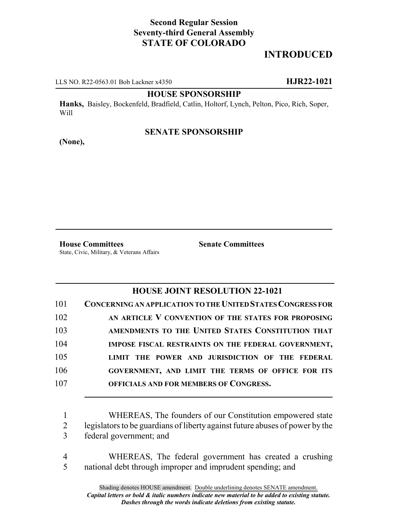# **Second Regular Session Seventy-third General Assembly STATE OF COLORADO**

# **INTRODUCED**

LLS NO. R22-0563.01 Bob Lackner x4350 **HJR22-1021**

#### **HOUSE SPONSORSHIP**

**Hanks,** Baisley, Bockenfeld, Bradfield, Catlin, Holtorf, Lynch, Pelton, Pico, Rich, Soper, Will

### **SENATE SPONSORSHIP**

**(None),**

**House Committees Senate Committees** State, Civic, Military, & Veterans Affairs

### **HOUSE JOINT RESOLUTION 22-1021**

| 101 | <b>CONCERNING AN APPLICATION TO THE UNITED STATES CONGRESS FOR</b> |
|-----|--------------------------------------------------------------------|
| 102 | AN ARTICLE V CONVENTION OF THE STATES FOR PROPOSING                |
| 103 | AMENDMENTS TO THE UNITED STATES CONSTITUTION THAT                  |
| 104 | IMPOSE FISCAL RESTRAINTS ON THE FEDERAL GOVERNMENT,                |
| 105 | LIMIT THE POWER AND JURISDICTION OF THE FEDERAL                    |
| 106 | GOVERNMENT, AND LIMIT THE TERMS OF OFFICE FOR ITS                  |
| 107 | OFFICIALS AND FOR MEMBERS OF CONGRESS.                             |

1 WHEREAS, The founders of our Constitution empowered state 2 legislators to be guardians of liberty against future abuses of power by the 3 federal government; and

4 WHEREAS, The federal government has created a crushing 5 national debt through improper and imprudent spending; and